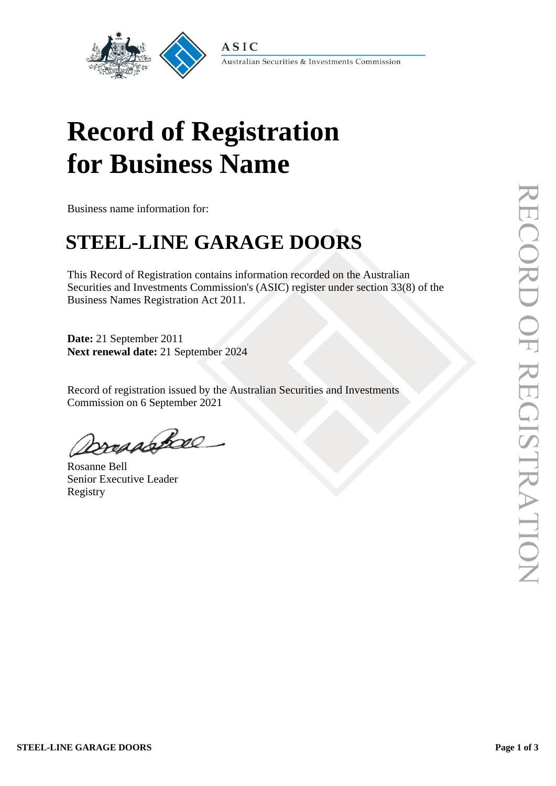

Australian Securities & Investments Commission

# **Record of Registration for Business Name**

Business name information for:

## **STEEL-LINE GARAGE DOORS**

This Record of Registration contains information recorded on the Australian Securities and Investments Commission's (ASIC) register under section 33(8) of the Business Names Registration Act 2011.

**Date:** 21 September 2011 **Next renewal date:** 21 September 2024

Record of registration issued by the Australian Securities and Investments Commission on 6 September 2021

Dossabbae

Rosanne Bell Senior Executive Leader Registry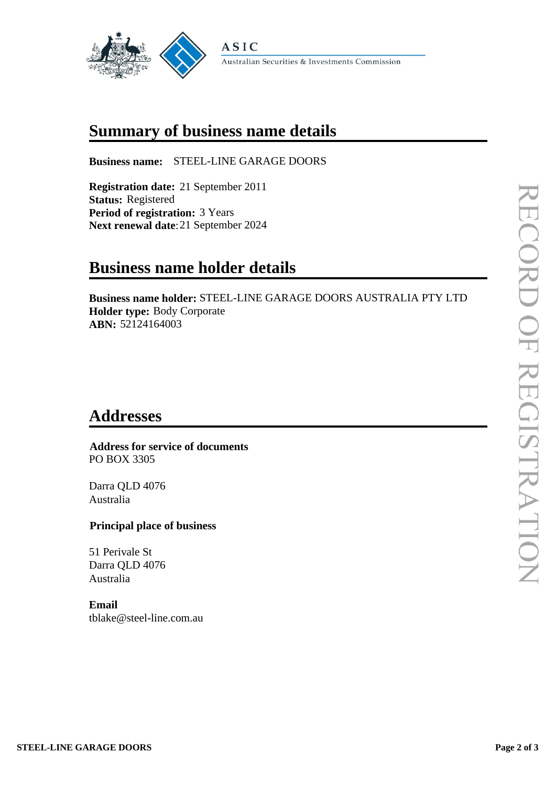

## **Summary of business name details**

**Business name:** STEEL-LINE GARAGE DOORS

**Registration date:** 21 September 2011 **Status:** Registered **Period of registration:** 3 Years **Next renewal date**:21 September 2024

## **Business name holder details**

**Business name holder:** STEEL-LINE GARAGE DOORS AUSTRALIA PTY LTD **Holder type:** Body Corporate **ABN:** 52124164003

### **Addresses**

 **Address for service of documents** PO BOX 3305

Darra QLD 4076 Australia

#### **Principal place of business**

51 Perivale St Darra QLD 4076 Australia

#### **Email**

tblake@steel-line.com.au